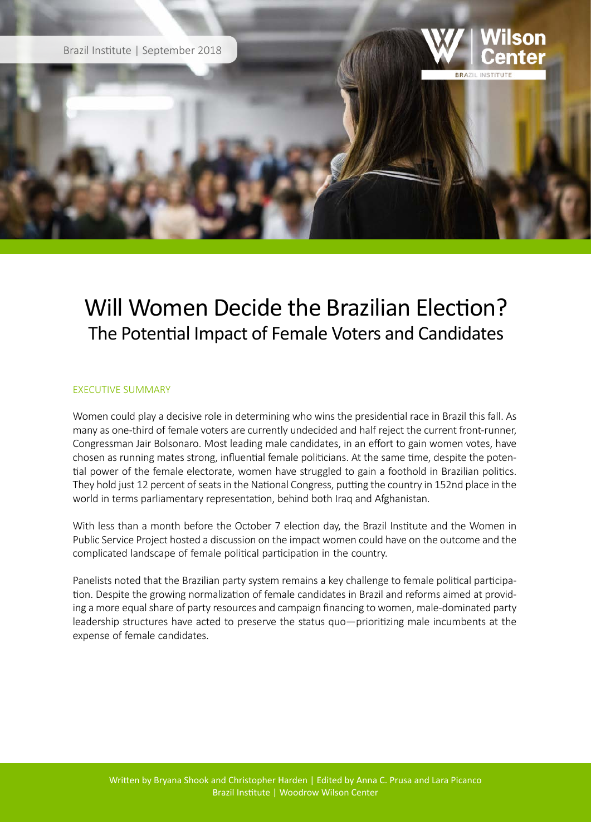

## Will Women Decide the Brazilian Election? The Potential Impact of Female Voters and Candidates

## EXECUTIVE SUMMARY

Women could play a decisive role in determining who wins the presidential race in Brazil this fall. As many as one-third of female voters are currently undecided and half reject the current front-runner, Congressman Jair Bolsonaro. Most leading male candidates, in an effort to gain women votes, have chosen as running mates strong, influential female politicians. At the same time, despite the potential power of the female electorate, women have struggled to gain a foothold in Brazilian politics. They hold just 12 percent of seats in the National Congress, putting the country in 152nd place in the world in terms parliamentary representation, behind both Iraq and Afghanistan.

With less than a month before the October 7 election day, the Brazil Institute and the Women in Public Service Project hosted a discussion on the impact women could have on the outcome and the complicated landscape of female political participation in the country.

Panelists noted that the Brazilian party system remains a key challenge to female political participation. Despite the growing normalization of female candidates in Brazil and reforms aimed at providing a more equal share of party resources and campaign financing to women, male-dominated party leadership structures have acted to preserve the status quo—prioritizing male incumbents at the expense of female candidates.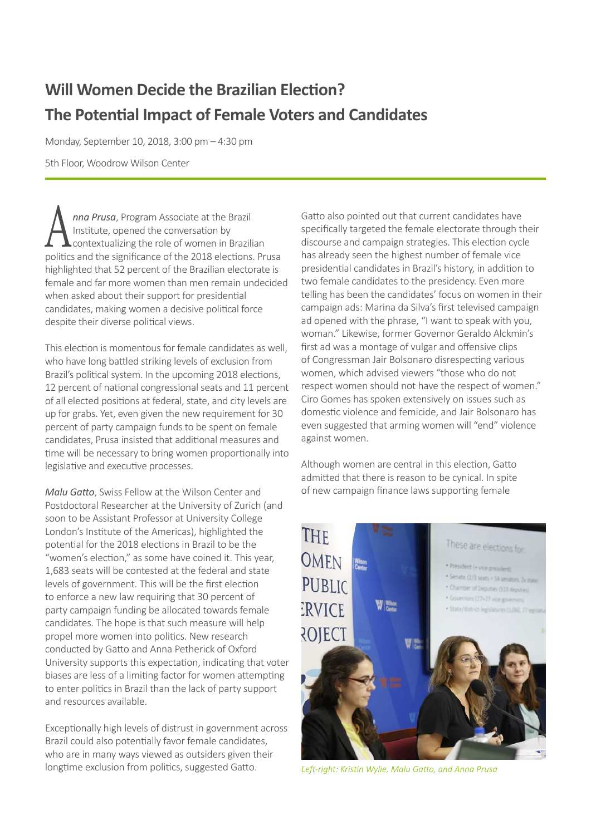## **Will Women Decide the Brazilian Election? The Potential Impact of Female Voters and Candidates**

Monday, September 10, 2018, 3:00 pm – 4:30 pm

5th Floor, Woodrow Wilson Center

**A** *nna Prusa*, Program Associate at the Brazil<br>
contextualizing the role of women in Brazilian<br>
in the role of women in Brazilian Institute, opened the conversation by politics and the significance of the 2018 elections. Prusa highlighted that 52 percent of the Brazilian electorate is female and far more women than men remain undecided when asked about their support for presidential candidates, making women a decisive political force despite their diverse political views.

This election is momentous for female candidates as well, who have long battled striking levels of exclusion from Brazil's political system. In the upcoming 2018 elections, 12 percent of national congressional seats and 11 percent of all elected positions at federal, state, and city levels are up for grabs. Yet, even given the new requirement for 30 percent of party campaign funds to be spent on female candidates, Prusa insisted that additional measures and time will be necessary to bring women proportionally into legislative and executive processes.

*Malu Gatto*, Swiss Fellow at the Wilson Center and Postdoctoral Researcher at the University of Zurich (and soon to be Assistant Professor at University College London's Institute of the Americas), highlighted the potential for the 2018 elections in Brazil to be the "women's election," as some have coined it. This year, 1,683 seats will be contested at the federal and state levels of government. This will be the first election to enforce a new law requiring that 30 percent of party campaign funding be allocated towards female candidates. The hope is that such measure will help propel more women into politics. New research conducted by Gatto and Anna Petherick of Oxford University supports this expectation, indicating that voter biases are less of a limiting factor for women attempting to enter politics in Brazil than the lack of party support and resources available.

Exceptionally high levels of distrust in government across Brazil could also potentially favor female candidates, who are in many ways viewed as outsiders given their longtime exclusion from politics, suggested Gatto.

Gatto also pointed out that current candidates have specifically targeted the female electorate through their discourse and campaign strategies. This election cycle has already seen the highest number of female vice presidential candidates in Brazil's history, in addition to two female candidates to the presidency. Even more telling has been the candidates' focus on women in their campaign ads: Marina da Silva's first televised campaign ad opened with the phrase, "I want to speak with you, woman." Likewise, former Governor Geraldo Alckmin's first ad was a montage of vulgar and offensive clips of Congressman Jair Bolsonaro disrespecting various women, which advised viewers "those who do not respect women should not have the respect of women." Ciro Gomes has spoken extensively on issues such as domestic violence and femicide, and Jair Bolsonaro has even suggested that arming women will "end" violence against women.

Although women are central in this election, Gatto admitted that there is reason to be cynical. In spite of new campaign finance laws supporting female



*Left-right: Kristin Wylie, Malu Gatto, and Anna Prusa*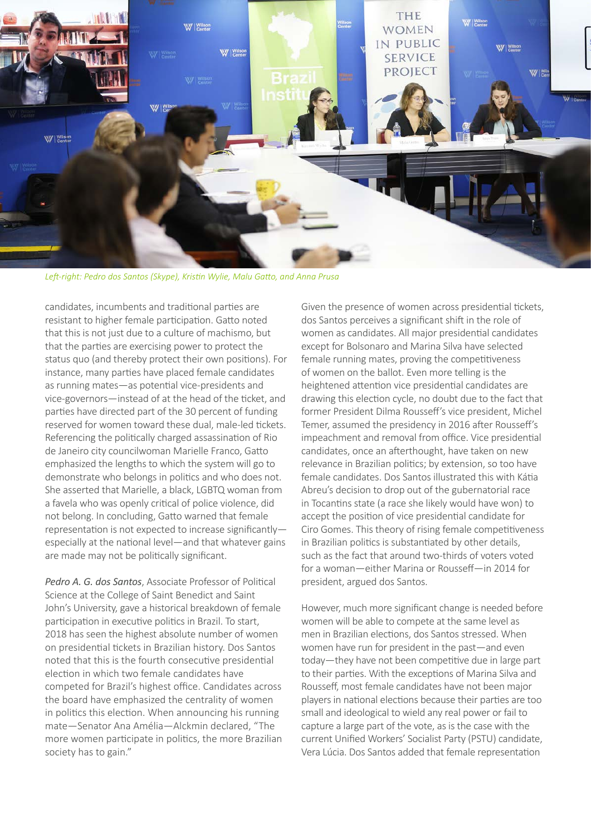

*Left-right: Pedro dos Santos (Skype), Kristin Wylie, Malu Gatto, and Anna Prusa*

candidates, incumbents and traditional parties are resistant to higher female participation. Gatto noted that this is not just due to a culture of machismo, but that the parties are exercising power to protect the status quo (and thereby protect their own positions). For instance, many parties have placed female candidates as running mates—as potential vice-presidents and vice-governors—instead of at the head of the ticket, and parties have directed part of the 30 percent of funding reserved for women toward these dual, male-led tickets. Referencing the politically charged assassination of Rio de Janeiro city councilwoman Marielle Franco, Gatto emphasized the lengths to which the system will go to demonstrate who belongs in politics and who does not. She asserted that Marielle, a black, LGBTQ woman from a favela who was openly critical of police violence, did not belong. In concluding, Gatto warned that female representation is not expected to increase significantly especially at the national level—and that whatever gains are made may not be politically significant.

*Pedro A. G. dos Santos*, Associate Professor of Political Science at the College of Saint Benedict and Saint John's University, gave a historical breakdown of female participation in executive politics in Brazil. To start, 2018 has seen the highest absolute number of women on presidential tickets in Brazilian history. Dos Santos noted that this is the fourth consecutive presidential election in which two female candidates have competed for Brazil's highest office. Candidates across the board have emphasized the centrality of women in politics this election. When announcing his running mate—Senator Ana Amélia—Alckmin declared, "The more women participate in politics, the more Brazilian society has to gain."

Given the presence of women across presidential tickets, dos Santos perceives a significant shift in the role of women as candidates. All major presidential candidates except for Bolsonaro and Marina Silva have selected female running mates, proving the competitiveness of women on the ballot. Even more telling is the heightened attention vice presidential candidates are drawing this election cycle, no doubt due to the fact that former President Dilma Rousseff's vice president, Michel Temer, assumed the presidency in 2016 after Rousseff's impeachment and removal from office. Vice presidential candidates, once an afterthought, have taken on new relevance in Brazilian politics; by extension, so too have female candidates. Dos Santos illustrated this with Kátia Abreu's decision to drop out of the gubernatorial race in Tocantins state (a race she likely would have won) to accept the position of vice presidential candidate for Ciro Gomes. This theory of rising female competitiveness in Brazilian politics is substantiated by other details, such as the fact that around two-thirds of voters voted for a woman—either Marina or Rousseff—in 2014 for president, argued dos Santos.

However, much more significant change is needed before women will be able to compete at the same level as men in Brazilian elections, dos Santos stressed. When women have run for president in the past—and even today—they have not been competitive due in large part to their parties. With the exceptions of Marina Silva and Rousseff, most female candidates have not been major players in national elections because their parties are too small and ideological to wield any real power or fail to capture a large part of the vote, as is the case with the current Unified Workers' Socialist Party (PSTU) candidate, Vera Lúcia. Dos Santos added that female representation